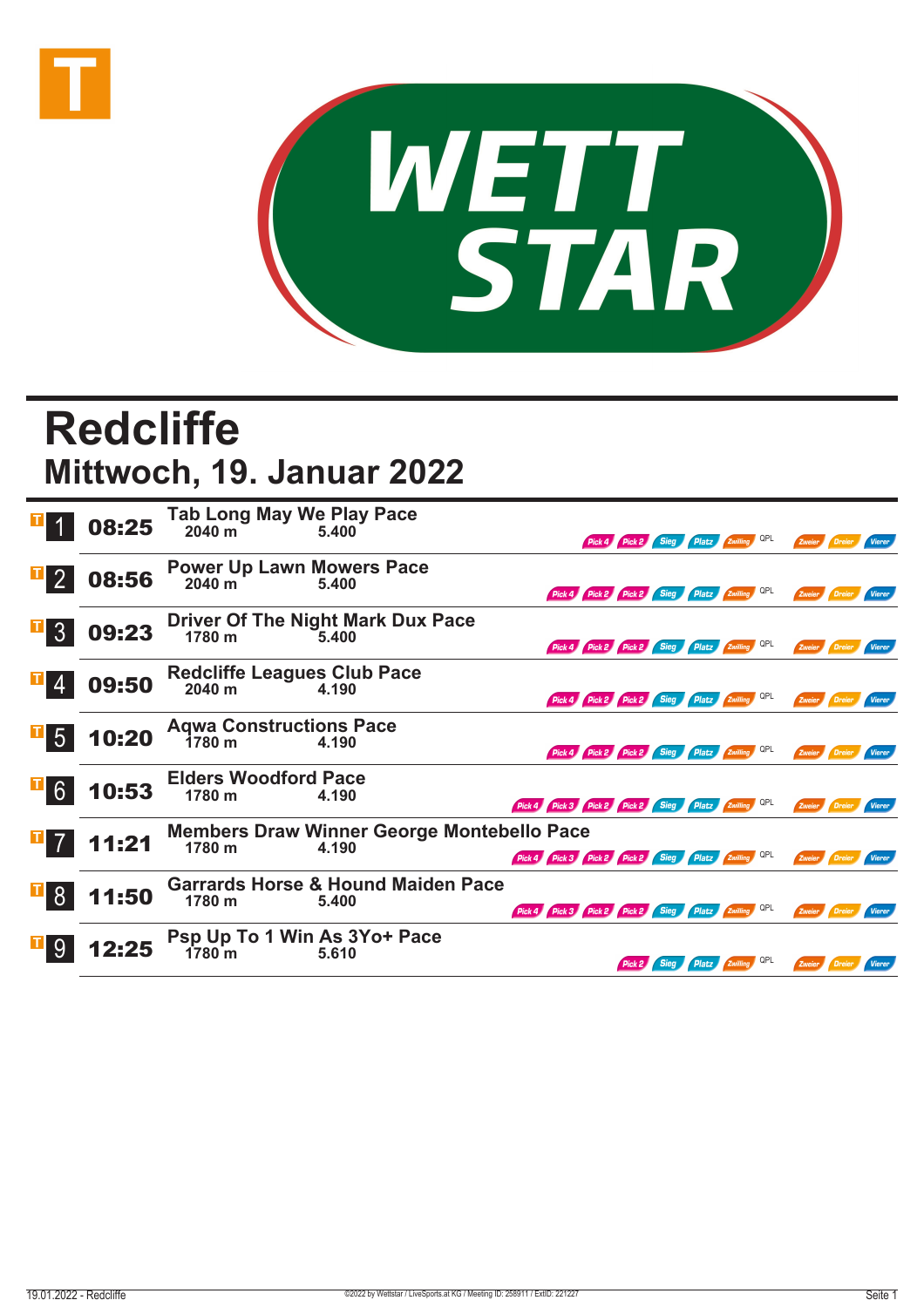



## **Redcliffe Mittwoch, 19. Januar 2022**

|                            | 08:25 | Tab Long May We Play Pace<br>2040 m<br>5.400        |                                                            |                                                     |                                              | Pick 4 Pick 2 Sieg Platz Zwilling QPL |  |     | Zweier        |          |               |
|----------------------------|-------|-----------------------------------------------------|------------------------------------------------------------|-----------------------------------------------------|----------------------------------------------|---------------------------------------|--|-----|---------------|----------|---------------|
|                            | 08:56 | <b>Power Up Lawn Mowers Pace</b><br>2040 m          | 5.400                                                      |                                                     | Pick 4 Pick 2 Pick 2 Sieg Platz Zwilling QPL |                                       |  |     | Zweier        |          | Vierer        |
| $\overline{3}$             | 09:23 |                                                     | Driver Of The Night Mark Dux Pace<br>1780 m<br>5.400       |                                                     | Pick 4 Pick 2 Pick 2 Sieg Platz Zwilling     |                                       |  | QPL | Zweier Dreier |          | <b>Vierer</b> |
|                            | 09:50 | <b>Redcliffe Leagues Club Pace</b><br>2040 m        | 4.190                                                      |                                                     | Pick 4 Pick 2 Pick 2 Sieg Platz Zwilling QPL |                                       |  |     | Zweier Dreier |          | Vierer        |
| $\overline{1\overline{5}}$ | 10:20 | <b>Agwa Constructions Pace</b><br>1780 <sub>m</sub> | 4.190                                                      |                                                     | Pick 4 Pick 2 Pick 2 Sieg Platz Zwilling     |                                       |  |     | Zweier        |          | Vierer        |
| $6 \overline{6}$           | 10:53 | <b>Elders Woodford Pace</b><br>1780 m               | 4.190                                                      | Pick 4 Pick 3 Pick 2 Pick 2 Sieg Platz Zwilling QPL |                                              |                                       |  |     | Zweier        |          |               |
|                            | 11:21 | 1780 m                                              | <b>Members Draw Winner George Montebello Pace</b><br>4.190 |                                                     | Pick 3 Pick 2 Pick 2 Sieg Platz Zwilling     |                                       |  | QPL |               |          | Vierer        |
|                            | 11:50 | 1780 m                                              | <b>Garrards Horse &amp; Hound Maiden Pace</b><br>5.400     | Pick 4 Pick 3 Pick 2 Pick 2 Sieg Platz Zwilling QPL |                                              |                                       |  |     | Zweier Dreier |          | Vierer        |
|                            |       | Psp Up To 1 Win As 3Yo+ Pace<br>1780m               | 5.610                                                      |                                                     |                                              | Pick 2 Sieg Platz Zwilling QPL        |  |     | Zweier        | / Dreier | <b>Vierer</b> |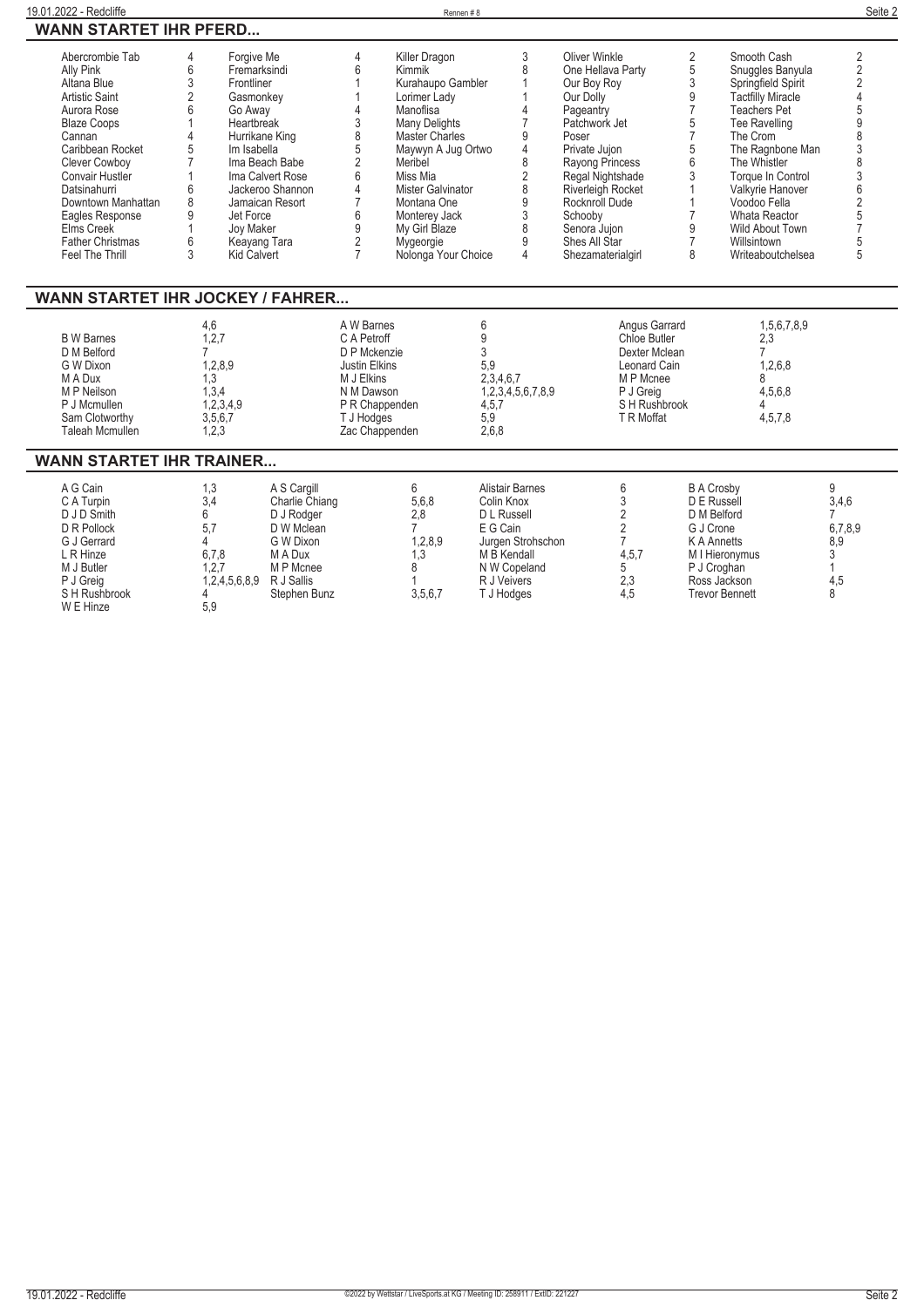|    | Forgive Me       |         | Killer Dragon         |                                                          | Oliver Winkle            |                          | Smooth Cash          |                                                |
|----|------------------|---------|-----------------------|----------------------------------------------------------|--------------------------|--------------------------|----------------------|------------------------------------------------|
| 6  | Fremarksindi     |         | Kimmik                |                                                          | One Hellava Party        |                          | Snuggles Banyula     |                                                |
|    | Frontliner       |         |                       |                                                          |                          |                          |                      |                                                |
|    | Gasmonkey        |         |                       |                                                          | Our Dolly                |                          |                      |                                                |
| h. |                  |         | Manoflisa             |                                                          |                          |                          | Teachers Pet         |                                                |
|    | Heartbreak       |         | <b>Many Delights</b>  |                                                          | Patchwork Jet            |                          | <b>Tee Ravelling</b> |                                                |
|    | Hurrikane King   |         | <b>Master Charles</b> |                                                          | Poser                    |                          | The Crom             |                                                |
|    | Im Isabella      |         | Maywyn A Jug Ortwo    |                                                          | Private Jujon            |                          | The Ragnbone Man     |                                                |
|    | Ima Beach Babe   |         | Meribel               |                                                          | Rayong Princess          |                          | The Whistler         |                                                |
|    | Ima Calvert Rose |         | Miss Mia              |                                                          | Regal Nightshade         |                          | Torque In Control    |                                                |
| h  | Jackeroo Shannon |         | Mister Galvinator     |                                                          | <b>Riverleigh Rocket</b> |                          | Valkvrie Hanover     |                                                |
| ŏ  | Jamaican Resort  |         | Montana One           |                                                          | Rocknroll Dude           |                          | Voodoo Fella         |                                                |
|    | Jet Force        |         | Monterey Jack         |                                                          | Schooby                  |                          | Whata Reactor        |                                                |
|    | Joy Maker        |         | My Girl Blaze         |                                                          | Senora Jujon             |                          | Wild About Town      |                                                |
|    | Keayang Tara     |         | Mygeorgie             |                                                          | Shes All Star            |                          | Willsintown          |                                                |
|    | Kid Calvert      |         |                       | 4                                                        | Shezamaterialgirl        | 8                        | Writeaboutchelsea    |                                                |
|    |                  |         |                       |                                                          |                          |                          |                      |                                                |
|    |                  | Go Away |                       | Kurahaupo Gambler<br>Lorimer Lady<br>Nolonga Your Choice |                          | Our Boy Roy<br>Pageantry |                      | Springfield Spirit<br><b>Tactfilly Miracle</b> |

## **WANN STARTET IHR JOCKEY / FAHRER...**

|                   | 4.6       | A W Barnes     |                   | Angus Garrard | 1,5,6,7,8,9 |  |
|-------------------|-----------|----------------|-------------------|---------------|-------------|--|
| <b>B</b> W Barnes | 1.2.7     | C A Petroff    |                   | Chloe Butler  | 2.3         |  |
| D M Belford       |           | D P Mckenzie   |                   | Dexter Mclean |             |  |
| G W Dixon         | 1,2,8,9   | Justin Elkins  | 5.9               | Leonard Cain  | 1.2.6.8     |  |
| M A Dux           | .3        | M J Elkins     | 2,3,4,6,7         | M P Mcnee     |             |  |
| M P Neilson       | . 3.4     | N M Dawson     | 1,2,3,4,5,6,7,8,9 | P J Greia     | 4.5.6.8     |  |
| P J Mcmullen      | 1,2,3,4,9 | P R Chappenden | 4,5,7             | S H Rushbrook |             |  |
| Sam Clotworthy    | 3,5,6,7   | T J Hodges     | 5.9               | T R Moffat    | 4,5,7,8     |  |
| Taleah Mcmullen   | 1,2,3     | Zac Chappenden | 2,6,8             |               |             |  |

## **WANN STARTET IHR TRAINER...**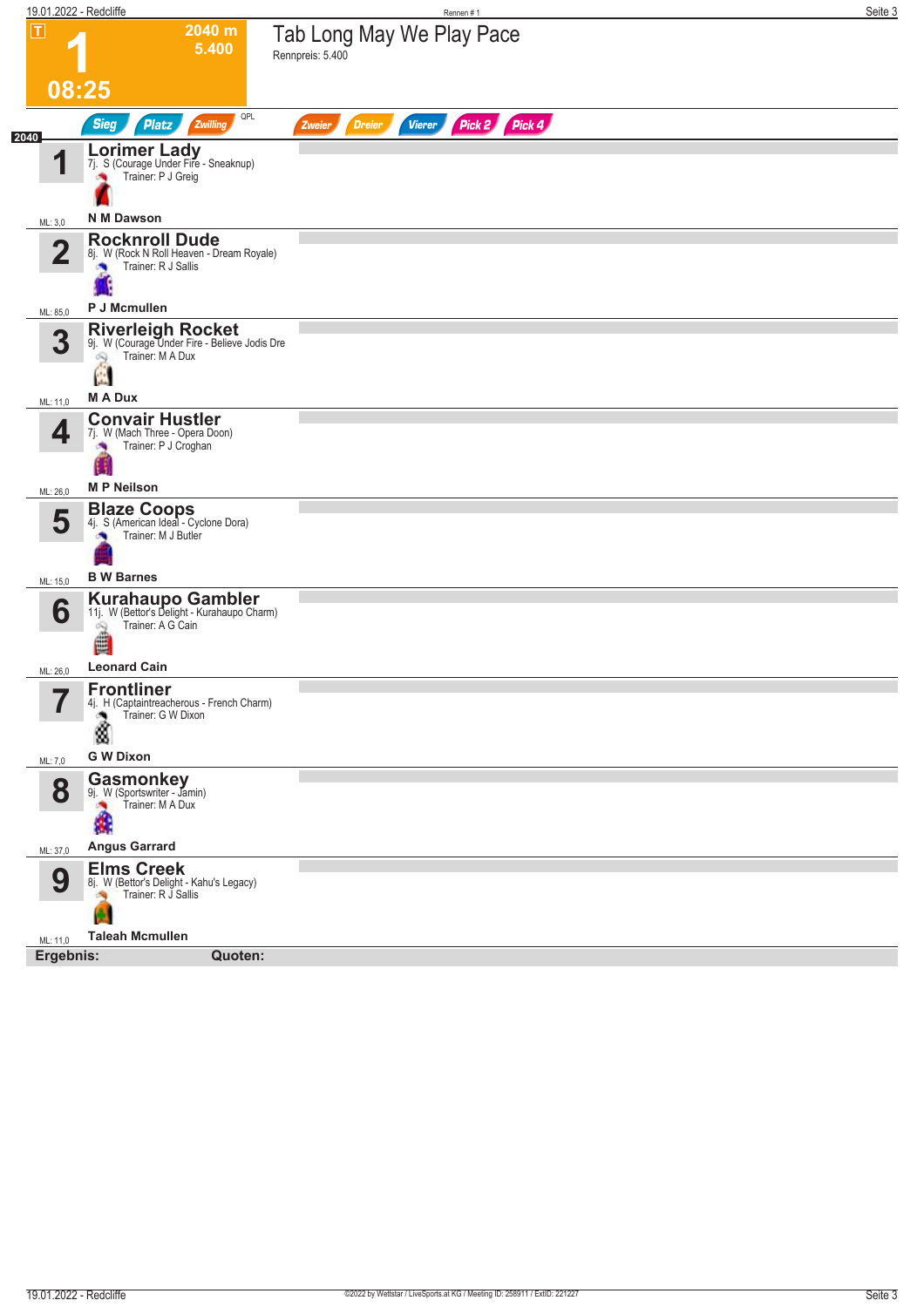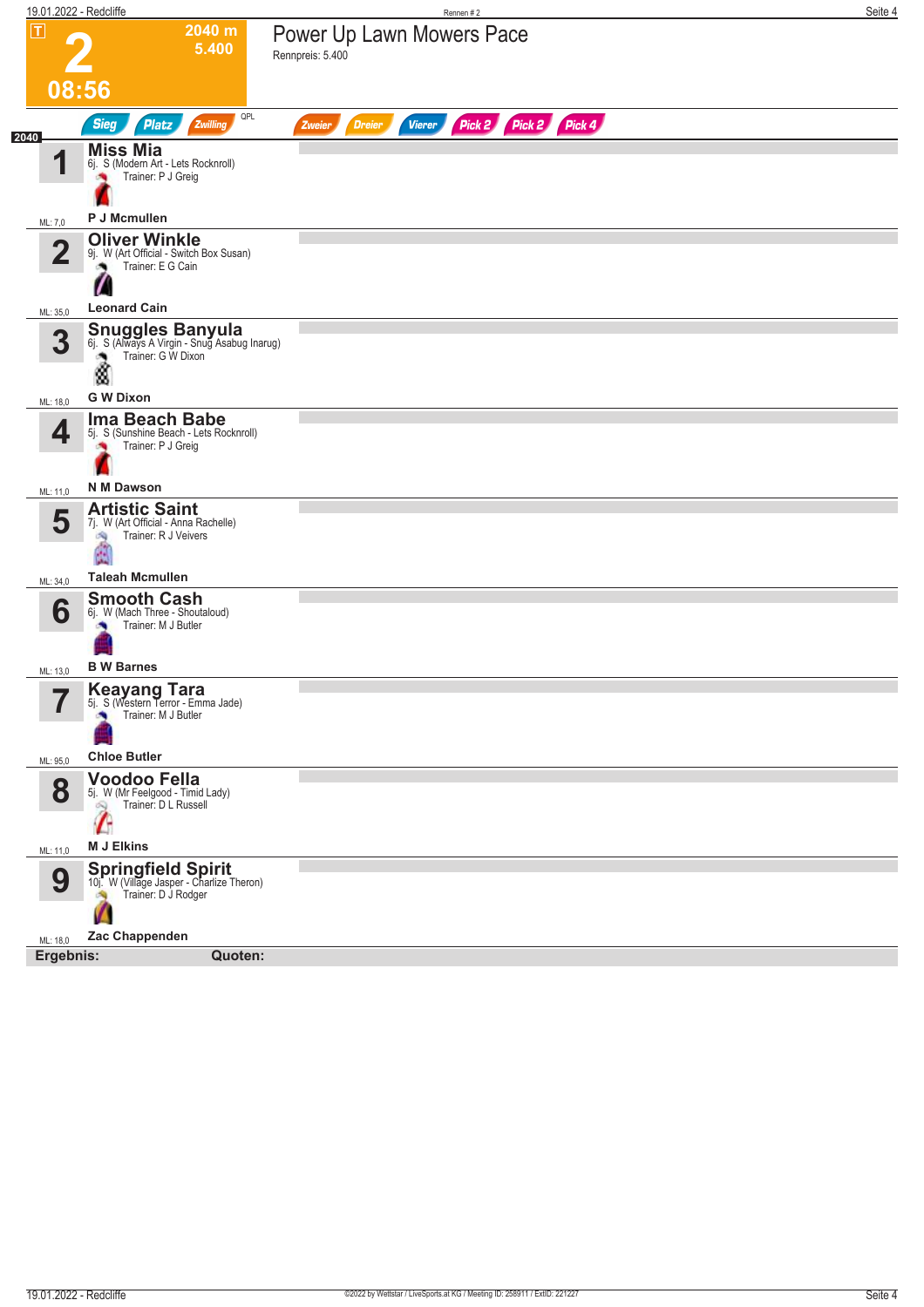|                               | 19.01.2022 - Redcliffe                                                                                                                   | Rennen#2                                                         | Seite 4 |
|-------------------------------|------------------------------------------------------------------------------------------------------------------------------------------|------------------------------------------------------------------|---------|
| $\overline{\mathsf{T}}$       | 2040 m<br>5.400                                                                                                                          | Power Up Lawn Mowers Pace<br>Rennpreis: 5.400                    |         |
|                               | 08:56                                                                                                                                    |                                                                  |         |
| 2040                          | QPL<br><b>Sieg</b><br><b>Platz</b><br>Zwilling                                                                                           | Pick 2 Pick 2 Pick 4<br><b>Vierer</b><br><b>Dreier</b><br>Zweier |         |
| 1                             | <b>Miss Mia</b><br>6j. S (Modern Art - Lets Rocknroll)<br>Trainer: P J Greig                                                             |                                                                  |         |
| ML: 7,0                       | P J Mcmullen                                                                                                                             |                                                                  |         |
| $\mathbf{2}$                  | <b>Oliver Winkle</b><br>9j. W (Art Official - Switch Box Susan)<br>Trainer: E G Cain                                                     |                                                                  |         |
| ML: 35,0                      | <b>Leonard Cain</b>                                                                                                                      |                                                                  |         |
| 3                             | <b>Snuggles Banyula</b> 6j. S (Always A Virgin - Snug Asabug Inarug)<br>Trainer: G W Dixon<br>۸<br>٨                                     |                                                                  |         |
| ML: 18,0                      | <b>G W Dixon</b>                                                                                                                         |                                                                  |         |
| 4                             | Ima Beach Babe<br>5j. S (Sunshine Beach - Lets Rocknroll)<br>Trainer: P J Greig                                                          |                                                                  |         |
| ML: 11,0                      | <b>N M Dawson</b>                                                                                                                        |                                                                  |         |
| 5                             | <b>Artistic Saint</b><br>7j. W (Art Official - Anna Rachelle)<br>Trainer: R J Veivers<br>6Ñ)<br><b>Taleah Mcmullen</b>                   |                                                                  |         |
| ML: 34,0                      | <b>Smooth Cash</b>                                                                                                                       |                                                                  |         |
| 6                             | 6j. W (Mach Three - Shoutaloud)<br>Trainer: M J Butler                                                                                   |                                                                  |         |
| ML: 13,0                      | <b>B W Barnes</b>                                                                                                                        |                                                                  |         |
| $\overline{\phantom{a}}$<br>T | <b>Keayang Tara</b><br>5j. S (Western Terror - Emma Jade)<br>Trainer: M J Butler                                                         |                                                                  |         |
| ML: 95,0                      | <b>Chloe Butler</b>                                                                                                                      |                                                                  |         |
| 8                             | Voodoo Fella<br>5j. W (Mr Feelgood - Timid Lady)<br>Trainer: D L Russell<br>è                                                            |                                                                  |         |
| ML: 11,0                      | <b>M J Elkins</b>                                                                                                                        |                                                                  |         |
| 9<br>ML: 18,0                 | <b>Springfield Spirit</b><br>10j. W (Village Jasper - Charlize Theron)<br>Trainer: D J Rodger<br>$\mathcal{P}$<br>V.A.<br>Zac Chappenden |                                                                  |         |
| Ergebnis:                     | Quoten:                                                                                                                                  |                                                                  |         |
|                               |                                                                                                                                          |                                                                  |         |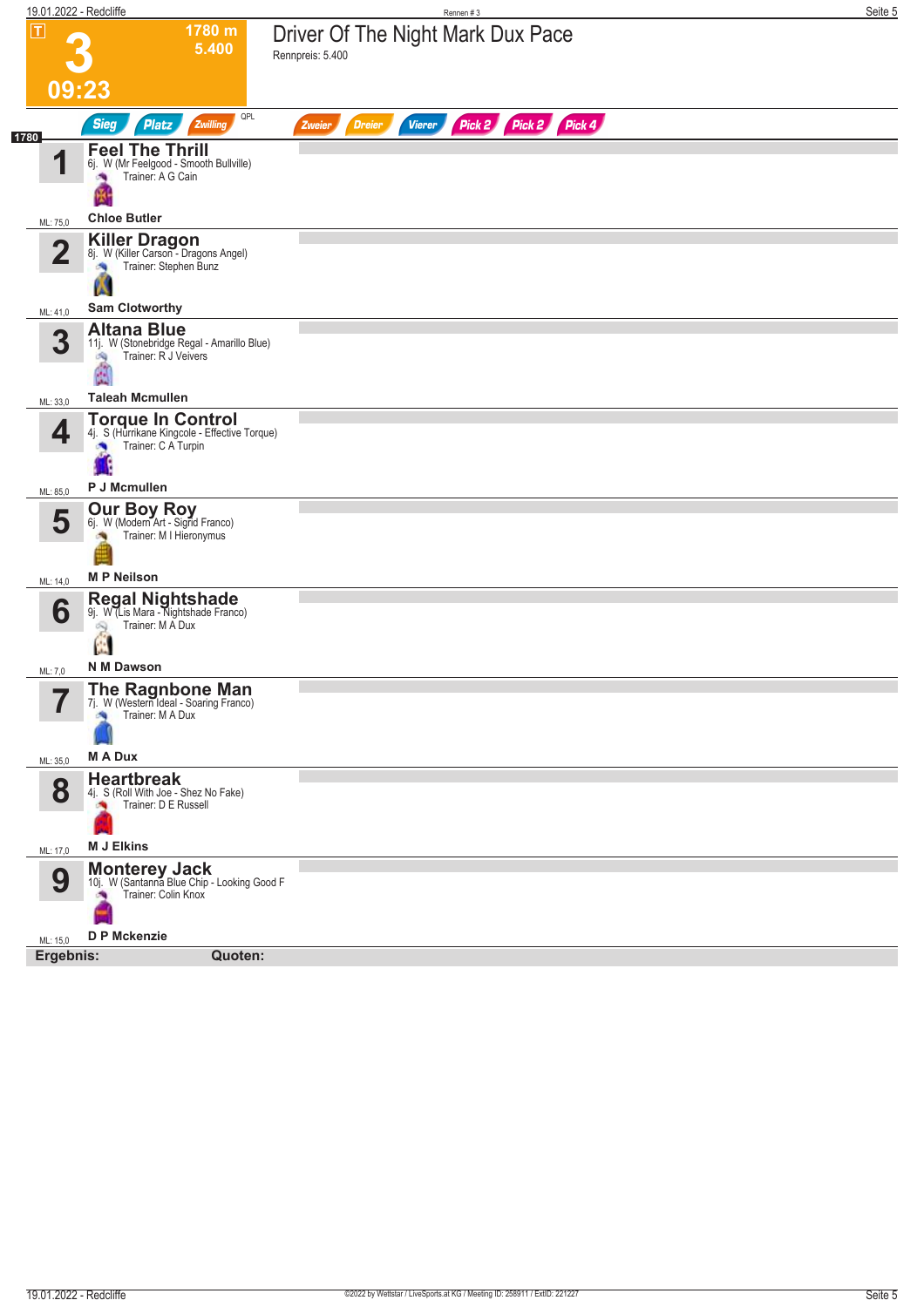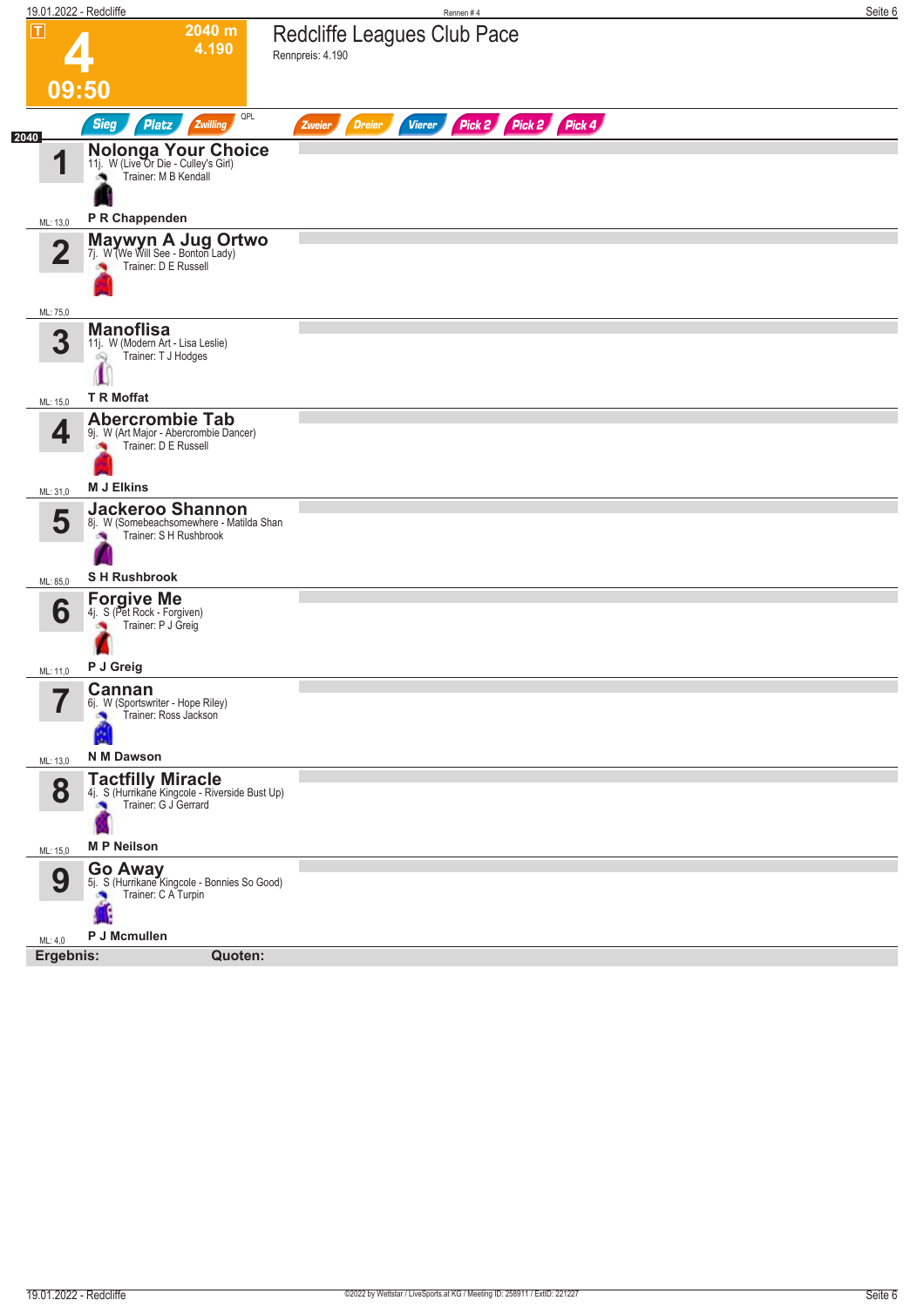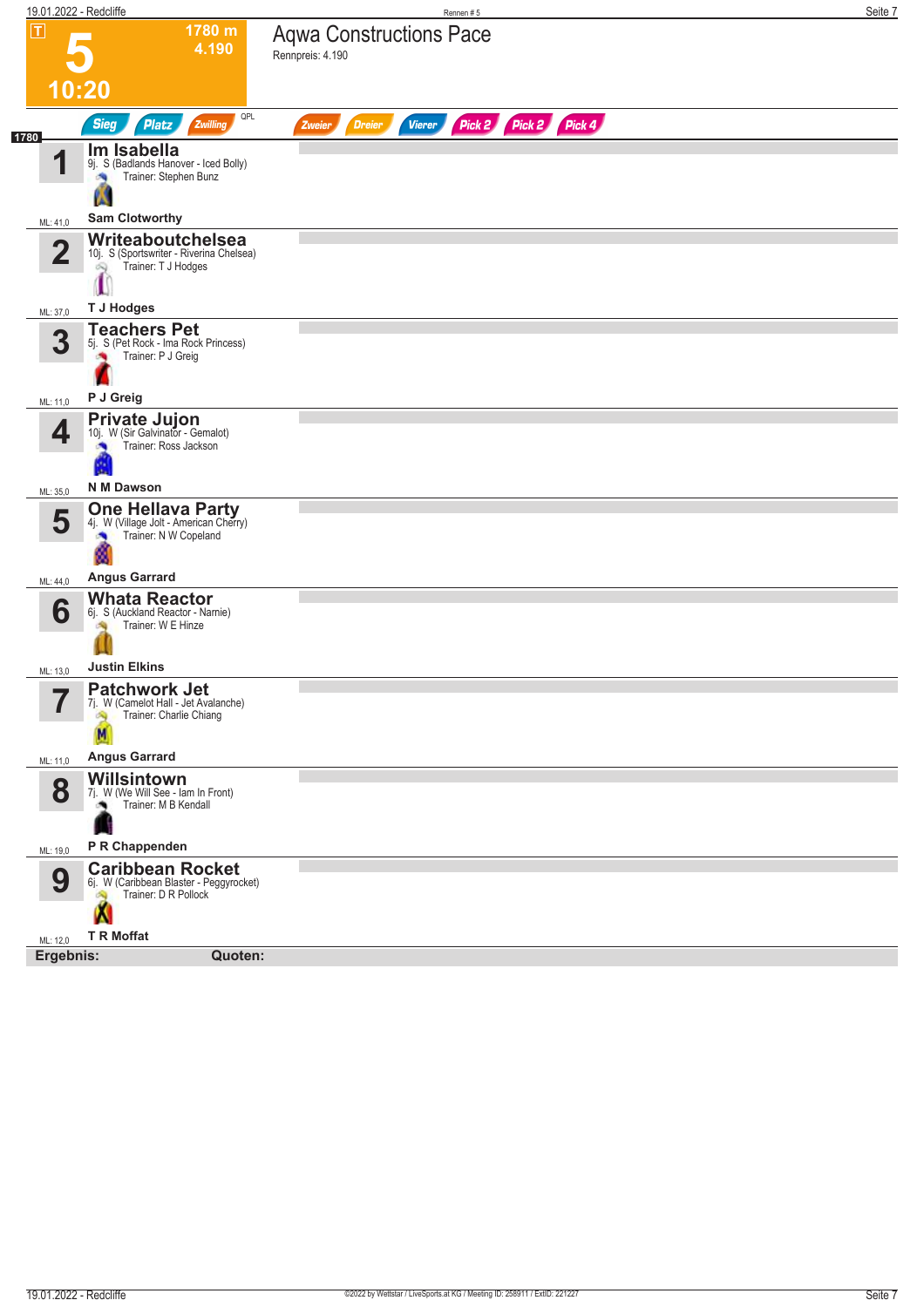|                         | 19.01.2022 - Redcliffe                                                                           | Rennen#5                                                         | Seite 7 |
|-------------------------|--------------------------------------------------------------------------------------------------|------------------------------------------------------------------|---------|
| П                       | 1780 m<br>4.190                                                                                  | <b>Aqwa Constructions Pace</b><br>Rennpreis: 4.190               |         |
|                         | 10:20                                                                                            |                                                                  |         |
|                         | QPL<br><b>Sieg</b><br><b>Platz</b><br>Zwilling                                                   | Pick 2 Pick 2 Pick 4<br><b>Dreier</b><br><b>Vierer</b><br>Zweier |         |
| 1780<br>И               | Im Isabella<br>9j. S (Badlands Hanover - Iced Bolly)<br>Trainer: Stephen Bunz<br>询               |                                                                  |         |
| ML: 41,0                | <b>Sam Clotworthy</b>                                                                            |                                                                  |         |
| $\overline{\mathbf{2}}$ | Writeaboutchelsea<br>10j. S (Sportswriter - Riverina Chelsea)<br>Trainer: T J Hodges<br>Q        |                                                                  |         |
| ML: 37,0                | <b>T J Hodges</b>                                                                                |                                                                  |         |
| 3                       | <b>Teachers Pet</b><br>5j. S (Pet Rock - Ima Rock Princess)<br>Trainer: P J Greig                |                                                                  |         |
| ML: 11,0                | P J Greig                                                                                        |                                                                  |         |
| 4                       | <b>Private Jujon</b><br>10j. W (Sir Galvinator - Gemalot)<br>Trainer: Ross Jackson<br>×          |                                                                  |         |
| ML: 35,0                | N M Dawson                                                                                       |                                                                  |         |
| 5                       | <b>One Hellava Party</b><br>4j. W (Village Jolt - American Cherry)<br>Trainer: N W Copeland<br>× |                                                                  |         |
| ML: 44,0                | <b>Angus Garrard</b>                                                                             |                                                                  |         |
| 6                       | <b>Whata Reactor</b><br>6j. S (Auckland Reactor - Narnie)<br>Trainer: W E Hinze                  |                                                                  |         |
| ML: 13,0                | <b>Justin Elkins</b>                                                                             |                                                                  |         |
| ۳,                      | <b>Patchwork Jet</b><br>7j. W (Camelot Hall - Jet Avalanche)<br>Trainer: Charlie Chiang          |                                                                  |         |
| ML: 11,0                | <b>Angus Garrard</b>                                                                             |                                                                  |         |
| 8                       | Willsintown<br>7j. W (We Will See - Iam In Front)<br>Trainer: M B Kendall                        |                                                                  |         |
| ML: 19,0                | P R Chappenden                                                                                   |                                                                  |         |
| 9                       | <b>Caribbean Rocket</b><br>6j. W (Caribbean Blaster - Peggyrocket)<br>Trainer: D R Pollock<br>м  |                                                                  |         |
| ML: 12,0                | <b>T R Moffat</b>                                                                                |                                                                  |         |
| Ergebnis:               | Quoten:                                                                                          |                                                                  |         |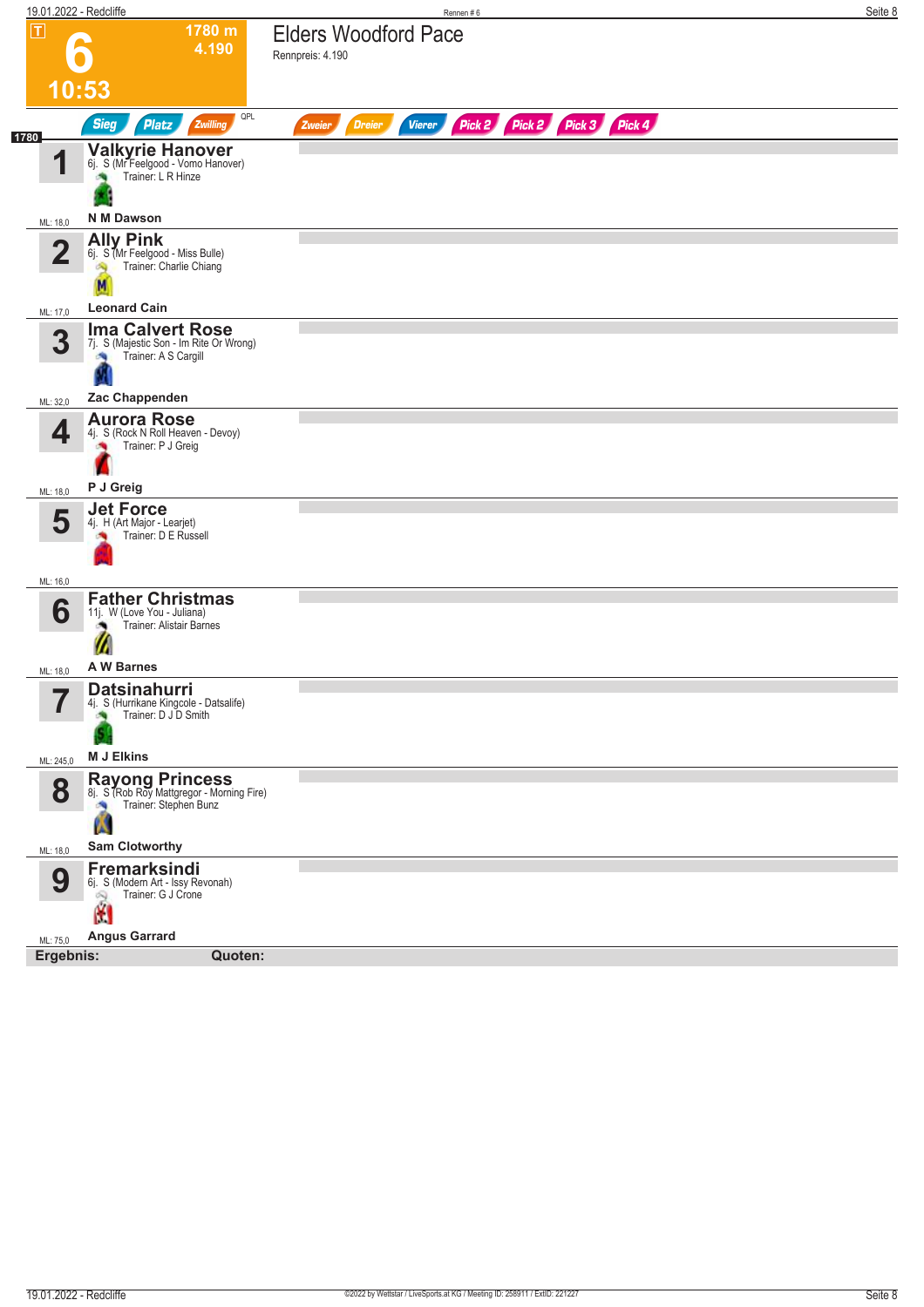| 19.01.2022 - Redcliffe   |                                                                                                   | Rennen#6                                                                | Seite 8 |
|--------------------------|---------------------------------------------------------------------------------------------------|-------------------------------------------------------------------------|---------|
| $\boxed{\mathbf{T}}$     | 1780 m<br>4.190                                                                                   | <b>Elders Woodford Pace</b><br>Rennpreis: 4.190                         |         |
|                          | 10:53                                                                                             |                                                                         |         |
| 1780                     | QPL<br><b>Sieg</b><br><b>Platz</b><br>Zwilling                                                    | Pick 2 Pick 2 Pick 3 Pick 4<br><b>Dreier</b><br><b>Vierer</b><br>Zweier |         |
| И                        | Valkyrie Hanover<br>6j. S (Mr Feelgood - Vomo Hanover)<br>Trainer: L R Hinze                      |                                                                         |         |
| ML: 18,0                 | N M Dawson                                                                                        |                                                                         |         |
| $\bf{2}$                 | <b>Ally Pink</b><br>6j. S (Mr Feelgood - Miss Bulle)<br>Trainer: Charlie Chiang                   |                                                                         |         |
| ML: 17,0                 | <b>Leonard Cain</b>                                                                               |                                                                         |         |
| 3                        | <b>Ima Calvert Rose</b><br>7j. S (Majestic Son - Im Rite Or Wrong)<br>Trainer: A S Cargill<br>确   |                                                                         |         |
| ML: 32,0                 | Zac Chappenden                                                                                    |                                                                         |         |
| 4                        | <b>Aurora Rose</b><br>4j. S (Rock N Roll Heaven - Devoy)<br>Trainer: P J Greig                    |                                                                         |         |
| ML: 18,0                 | P J Greig                                                                                         |                                                                         |         |
| 5                        | <b>Jet Force</b><br>4j. H (Art Major - Learjet)<br>Trainer: D E Russell                           |                                                                         |         |
| ML: 16,0                 |                                                                                                   |                                                                         |         |
| 6                        | <b>Father Christmas</b><br>11j. W (Love You - Juliana)<br>Trainer: Alistair Barnes<br>m           |                                                                         |         |
| ML: 18,0                 | A W Barnes                                                                                        |                                                                         |         |
| $\overline{\phantom{a}}$ | <b>Datsinahurri</b><br>4j. S (Hurrikane Kingcole - Datsalife)<br>Trainer: D J D Smith             |                                                                         |         |
| ML: 245,0                | <b>M J Elkins</b>                                                                                 |                                                                         |         |
| 8                        | <b>Rayong Princess</b><br>8j. S (Rob Roy Mattgregor - Morning Fire)<br>Trainer: Stephen Bunz<br>W |                                                                         |         |
| ML: 18,0                 | <b>Sam Clotworthy</b>                                                                             |                                                                         |         |
| 9                        | Fremarksindi<br>6j. S (Modern Art - Issy Revonah)<br>Trainer: G J Crone<br>Q<br>M                 |                                                                         |         |
| ML: 75,0                 | <b>Angus Garrard</b>                                                                              |                                                                         |         |
| Ergebnis:                | Quoten:                                                                                           |                                                                         |         |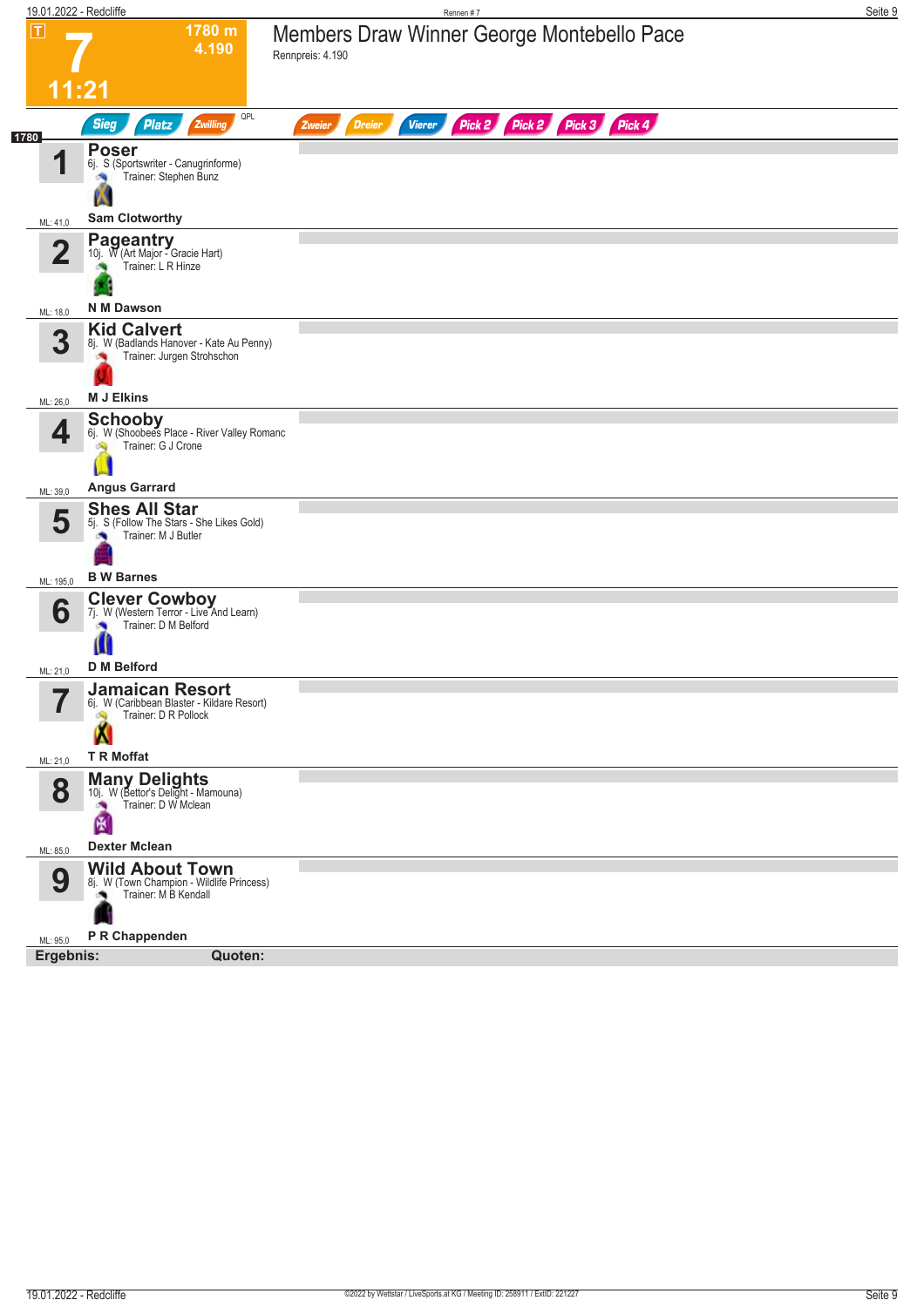|                                            | 19.01.2022 - Redcliffe                                                                             | Rennen #7                                                                  | Seite 9 |
|--------------------------------------------|----------------------------------------------------------------------------------------------------|----------------------------------------------------------------------------|---------|
| $ \mathsf{T} $                             | 1780 m<br>4.190                                                                                    | Members Draw Winner George Montebello Pace<br>Rennpreis: 4.190             |         |
|                                            | 11:21                                                                                              |                                                                            |         |
| 1780                                       | QPL<br><b>Sieg</b><br><b>Platz</b><br>Zwilling                                                     | Pick 2 Pick 3 Pick 4<br>Pick 2<br><b>Dreier</b><br><b>Vierer</b><br>Zweier |         |
| И                                          | <b>Poser</b><br>6j. S (Sportswriter - Canugrinforme)<br>Trainer: Stephen Bunz<br>z                 |                                                                            |         |
| ML: 41,0                                   | <b>Sam Clotworthy</b>                                                                              |                                                                            |         |
| $\overline{2}$                             | <b>Pageantry</b><br>10j. W (Art Major - Gracie Hart)<br>Trainer: L R Hinze<br><b>N M Dawson</b>    |                                                                            |         |
| ML: 18,0                                   | <b>Kid Calvert</b>                                                                                 |                                                                            |         |
| 3                                          | 8j. W (Badlands Hanover - Kate Au Penny)<br>Trainer: Jurgen Strohschon<br>×                        |                                                                            |         |
| ML: 26,0                                   | <b>M J Elkins</b>                                                                                  |                                                                            |         |
| 4                                          | <b>Schooby</b><br>6j. W (Shoobees Place - River Valley Romanc<br>Trainer: G J Crone                |                                                                            |         |
| ML: 39,0                                   | <b>Angus Garrard</b>                                                                               |                                                                            |         |
| 5                                          | <b>Shes All Star</b><br>5j. S (Follow The Stars - She Likes Gold)<br>Trainer: M J Butler           |                                                                            |         |
| ML: 195,0                                  | <b>B</b> W Barnes                                                                                  |                                                                            |         |
| 6                                          | <b>Clever Cowboy</b><br>7j. W (Western Terror - Live And Learn)<br>Trainer: D M Belford<br>ш       |                                                                            |         |
| ML: 21,0                                   | <b>D</b> M Belford                                                                                 |                                                                            |         |
| $\overline{\phantom{a}}$<br>$\blacksquare$ | <b>Jamaican Resort</b><br>6j. W (Caribbean Blaster - Kildare Resort)<br>Trainer: D R Pollock<br>A, |                                                                            |         |
| ML: 21,0                                   | <b>T R Moffat</b>                                                                                  |                                                                            |         |
| 8                                          | <b>Many Delights</b><br>10j. W (Bettor's Delight - Mamouna)<br>Trainer: D W Mclean<br>倒            |                                                                            |         |
| ML: 85,0                                   | <b>Dexter Mclean</b>                                                                               |                                                                            |         |
| 9                                          | <b>Wild About Town</b><br>8j. W (Town Champion - Wildlife Princess)<br>Trainer: M B Kendall<br>ு   |                                                                            |         |
| ML: 95,0                                   | P R Chappenden                                                                                     |                                                                            |         |
| Ergebnis:                                  | Quoten:                                                                                            |                                                                            |         |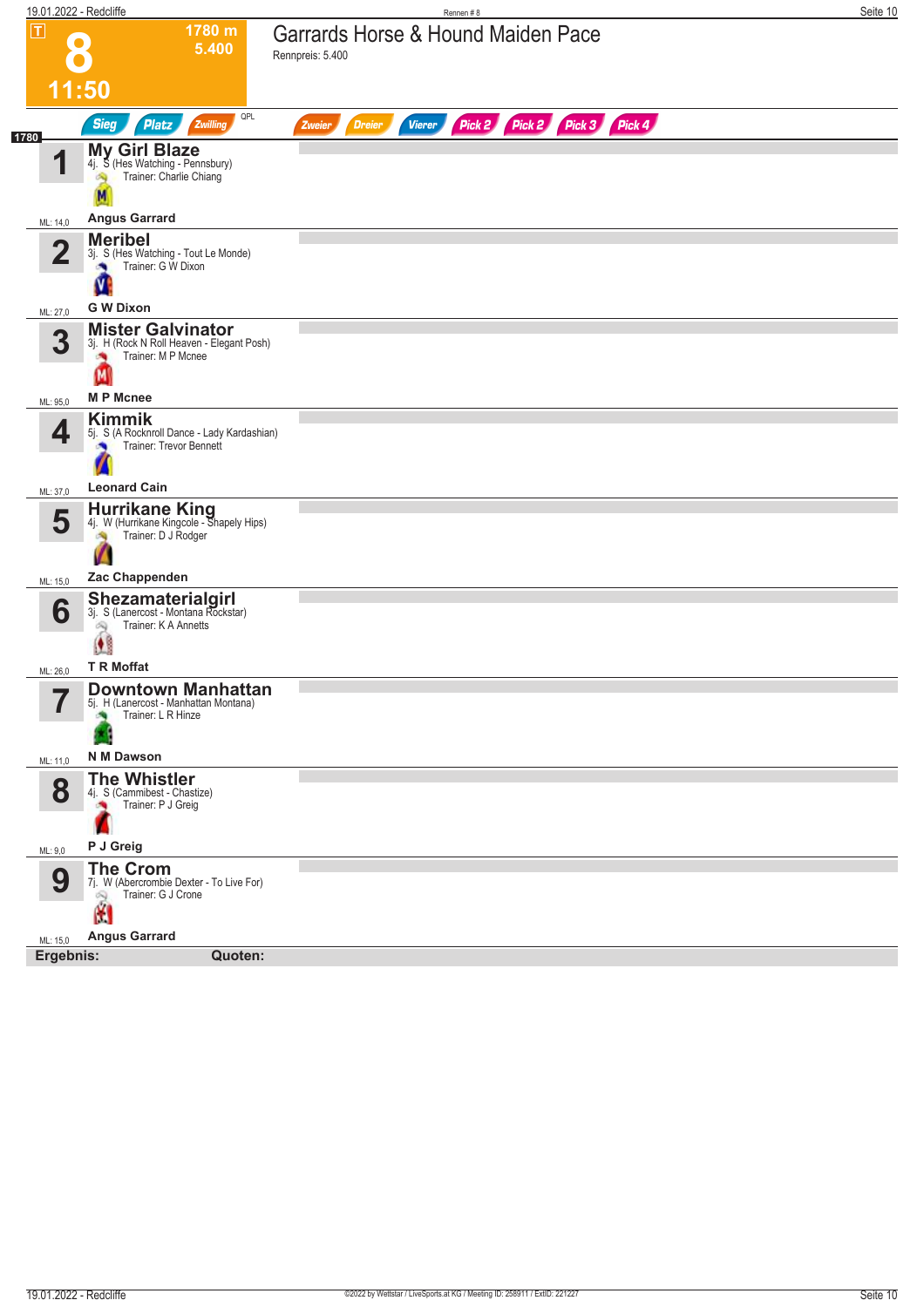| 19.01.2022 - Redcliffe |                                                                                                                           | Rennen#8                                                                | Seite 10 |
|------------------------|---------------------------------------------------------------------------------------------------------------------------|-------------------------------------------------------------------------|----------|
| $\boxed{\mathsf{T}}$   | 1780 m<br>5.400                                                                                                           | Garrards Horse & Hound Maiden Pace<br>Rennpreis: 5.400                  |          |
|                        | 11:50                                                                                                                     |                                                                         |          |
| 1780                   | QPL<br>Sieg<br><b>Platz</b><br>Zwilling                                                                                   | Pick 2 Pick 2 Pick 3 Pick 4<br><b>Dreier</b><br><b>Vierer</b><br>Zweier |          |
| и                      | <b>My Girl Blaze</b><br>4j. S (Hes Watching - Pennsbury)<br>Trainer: Charlie Chiang                                       |                                                                         |          |
| ML: 14,0               | <b>Angus Garrard</b>                                                                                                      |                                                                         |          |
| $\overline{2}$         | <b>Meribel</b><br>3j. S (Hes Watching - Tout Le Monde)<br>Trainer: G W Dixon<br>×                                         |                                                                         |          |
|                        |                                                                                                                           |                                                                         |          |
| ML: 27,0<br>3          | <b>G W Dixon</b><br><b>Mister Galvinator</b><br>3j. H (Rock N Roll Heaven - Elegant Posh)<br>Trainer: M P Mcnee<br>×<br>M |                                                                         |          |
| ML: 95,0               | <b>MP</b> Mcnee                                                                                                           |                                                                         |          |
| 4                      | <b>Kimmik</b><br>5j. S (A Rocknroll Dance - Lady Kardashian)<br>Trainer: Trevor Bennett                                   |                                                                         |          |
| ML: 37,0               | <b>Leonard Cain</b>                                                                                                       |                                                                         |          |
| 5<br>ML: 15,0          | Hurrikane King<br>4j. W (Hurrikane Kingcole - Shapely Hips)<br>Trainer: D J Rodger<br>肉<br>Zac Chappenden                 |                                                                         |          |
|                        | Shezamaterialgirl<br>3j. S (Lanercost - Montana Rockstar)                                                                 |                                                                         |          |
| 6                      | Trainer: K A Annetts<br>óQ,<br>$\bullet$                                                                                  |                                                                         |          |
| ML: 26,0               | <b>T R Moffat</b>                                                                                                         |                                                                         |          |
| 7<br>П                 | <b>Downtown Manhattan</b><br>5j. H (Lanercost - Manhattan Montana)<br>Trainer: L R Hinze                                  |                                                                         |          |
| ML: 11,0               | N M Dawson                                                                                                                |                                                                         |          |
| 8                      | <b>The Whistler</b><br>4j. S (Cammibest - Chastize)<br>Trainer: P J Greig                                                 |                                                                         |          |
| ML: 9,0                | P J Greig                                                                                                                 |                                                                         |          |
| 9                      | <b>The Crom</b><br>7j. W (Abercrombie Dexter - To Live For)<br>Trainer: G J Crone<br>Ŵ.<br>M                              |                                                                         |          |
| ML: 15,0               | <b>Angus Garrard</b>                                                                                                      |                                                                         |          |
| Ergebnis:              | Quoten:                                                                                                                   |                                                                         |          |
|                        |                                                                                                                           |                                                                         |          |